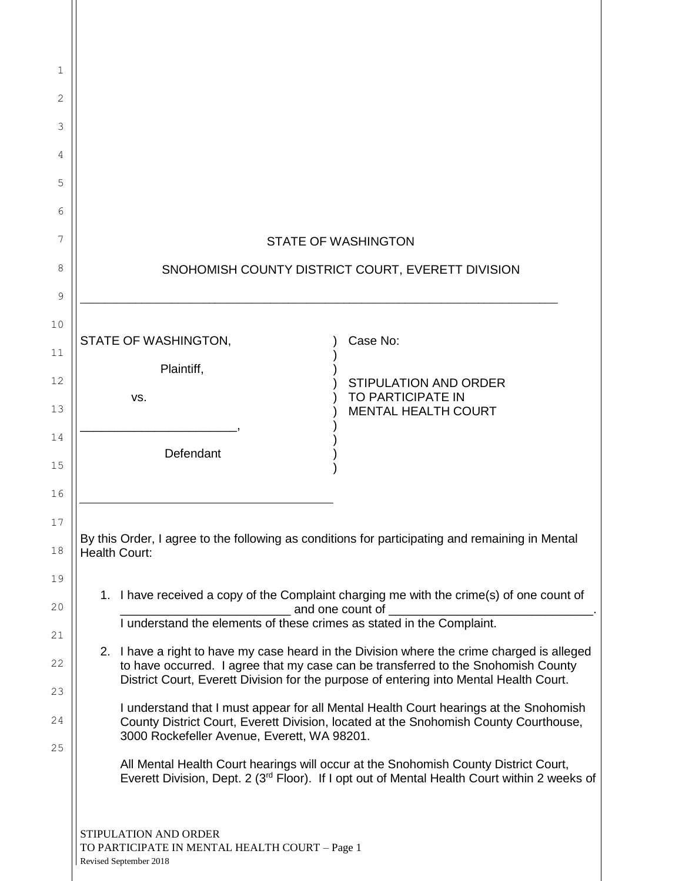| 1              |                                                                                                                                                                                                                                                                                                                                                                                                                                 |                            |                                                   |  |  |  |
|----------------|---------------------------------------------------------------------------------------------------------------------------------------------------------------------------------------------------------------------------------------------------------------------------------------------------------------------------------------------------------------------------------------------------------------------------------|----------------------------|---------------------------------------------------|--|--|--|
| 2              |                                                                                                                                                                                                                                                                                                                                                                                                                                 |                            |                                                   |  |  |  |
| 3              |                                                                                                                                                                                                                                                                                                                                                                                                                                 |                            |                                                   |  |  |  |
| 4              |                                                                                                                                                                                                                                                                                                                                                                                                                                 |                            |                                                   |  |  |  |
| 5              |                                                                                                                                                                                                                                                                                                                                                                                                                                 |                            |                                                   |  |  |  |
| 6              |                                                                                                                                                                                                                                                                                                                                                                                                                                 |                            |                                                   |  |  |  |
| 7              |                                                                                                                                                                                                                                                                                                                                                                                                                                 | <b>STATE OF WASHINGTON</b> |                                                   |  |  |  |
| 8              | SNOHOMISH COUNTY DISTRICT COURT, EVERETT DIVISION                                                                                                                                                                                                                                                                                                                                                                               |                            |                                                   |  |  |  |
| 9              |                                                                                                                                                                                                                                                                                                                                                                                                                                 |                            |                                                   |  |  |  |
| 10             | STATE OF WASHINGTON,                                                                                                                                                                                                                                                                                                                                                                                                            |                            | Case No:                                          |  |  |  |
| 11             | Plaintiff,                                                                                                                                                                                                                                                                                                                                                                                                                      |                            |                                                   |  |  |  |
| 12<br>13       | VS.                                                                                                                                                                                                                                                                                                                                                                                                                             |                            | <b>STIPULATION AND ORDER</b><br>TO PARTICIPATE IN |  |  |  |
| 14             |                                                                                                                                                                                                                                                                                                                                                                                                                                 |                            | <b>MENTAL HEALTH COURT</b>                        |  |  |  |
| 15             | Defendant                                                                                                                                                                                                                                                                                                                                                                                                                       |                            |                                                   |  |  |  |
| 16             |                                                                                                                                                                                                                                                                                                                                                                                                                                 |                            |                                                   |  |  |  |
| 17<br>18       | By this Order, I agree to the following as conditions for participating and remaining in Mental<br><b>Health Court:</b>                                                                                                                                                                                                                                                                                                         |                            |                                                   |  |  |  |
| 19             |                                                                                                                                                                                                                                                                                                                                                                                                                                 |                            |                                                   |  |  |  |
| 20             | 1. I have received a copy of the Complaint charging me with the crime(s) of one count of<br>and one count of<br>I understand the elements of these crimes as stated in the Complaint.                                                                                                                                                                                                                                           |                            |                                                   |  |  |  |
| 21<br>22<br>23 | 2. I have a right to have my case heard in the Division where the crime charged is alleged<br>to have occurred. I agree that my case can be transferred to the Snohomish County<br>District Court, Everett Division for the purpose of entering into Mental Health Court.                                                                                                                                                       |                            |                                                   |  |  |  |
| 24<br>25       | I understand that I must appear for all Mental Health Court hearings at the Snohomish<br>County District Court, Everett Division, located at the Snohomish County Courthouse,<br>3000 Rockefeller Avenue, Everett, WA 98201.<br>All Mental Health Court hearings will occur at the Snohomish County District Court,<br>Everett Division, Dept. 2 (3 <sup>rd</sup> Floor). If I opt out of Mental Health Court within 2 weeks of |                            |                                                   |  |  |  |
|                |                                                                                                                                                                                                                                                                                                                                                                                                                                 |                            |                                                   |  |  |  |
|                | STIPULATION AND ORDER<br>TO PARTICIPATE IN MENTAL HEALTH COURT - Page 1<br>Revised September 2018                                                                                                                                                                                                                                                                                                                               |                            |                                                   |  |  |  |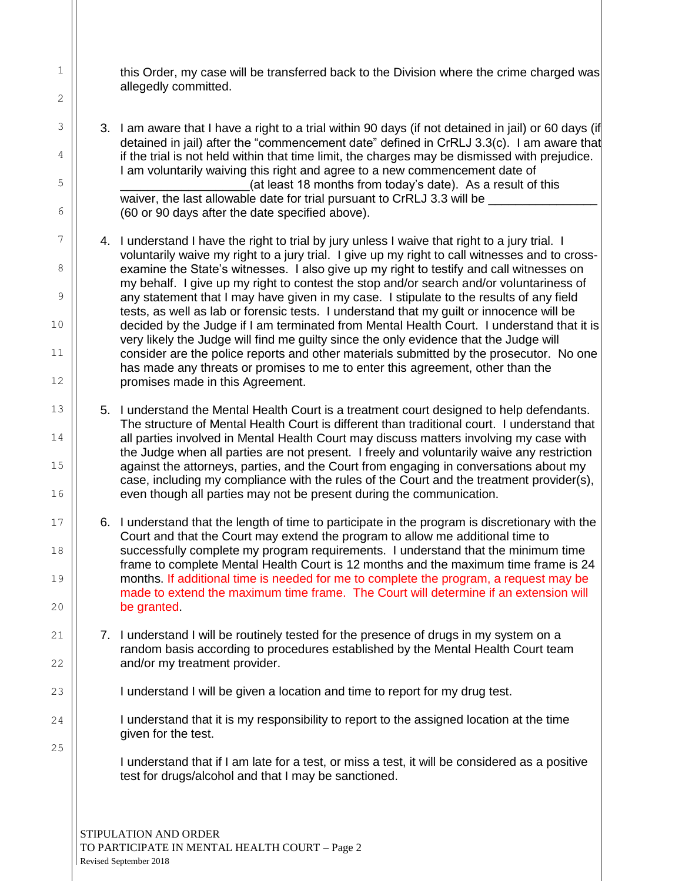this Order, my case will be transferred back to the Division where the crime charged was allegedly committed.

3. I am aware that I have a right to a trial within 90 days (if not detained in jail) or 60 days (if detained in jail) after the "commencement date" defined in CrRLJ 3.3(c). I am aware that if the trial is not held within that time limit, the charges may be dismissed with prejudice. I am voluntarily waiving this right and agree to a new commencement date of (at least 18 months from today's date). As a result of this waiver, the last allowable date for trial pursuant to CrRLJ 3.3 will be (60 or 90 days after the date specified above).

4. I understand I have the right to trial by jury unless I waive that right to a jury trial. I voluntarily waive my right to a jury trial. I give up my right to call witnesses and to crossexamine the State's witnesses. I also give up my right to testify and call witnesses on my behalf. I give up my right to contest the stop and/or search and/or voluntariness of any statement that I may have given in my case. I stipulate to the results of any field tests, as well as lab or forensic tests. I understand that my guilt or innocence will be decided by the Judge if I am terminated from Mental Health Court. I understand that it is very likely the Judge will find me guilty since the only evidence that the Judge will consider are the police reports and other materials submitted by the prosecutor. No one has made any threats or promises to me to enter this agreement, other than the promises made in this Agreement.

- 5. I understand the Mental Health Court is a treatment court designed to help defendants. The structure of Mental Health Court is different than traditional court. I understand that all parties involved in Mental Health Court may discuss matters involving my case with the Judge when all parties are not present. I freely and voluntarily waive any restriction against the attorneys, parties, and the Court from engaging in conversations about my case, including my compliance with the rules of the Court and the treatment provider(s), even though all parties may not be present during the communication.
- 6. I understand that the length of time to participate in the program is discretionary with the Court and that the Court may extend the program to allow me additional time to successfully complete my program requirements. I understand that the minimum time frame to complete Mental Health Court is 12 months and the maximum time frame is 24 months. If additional time is needed for me to complete the program, a request may be made to extend the maximum time frame. The Court will determine if an extension will be granted.
- 7. I understand I will be routinely tested for the presence of drugs in my system on a random basis according to procedures established by the Mental Health Court team and/or my treatment provider.
	- I understand I will be given a location and time to report for my drug test.
	- I understand that it is my responsibility to report to the assigned location at the time given for the test.

I understand that if I am late for a test, or miss a test, it will be considered as a positive test for drugs/alcohol and that I may be sanctioned.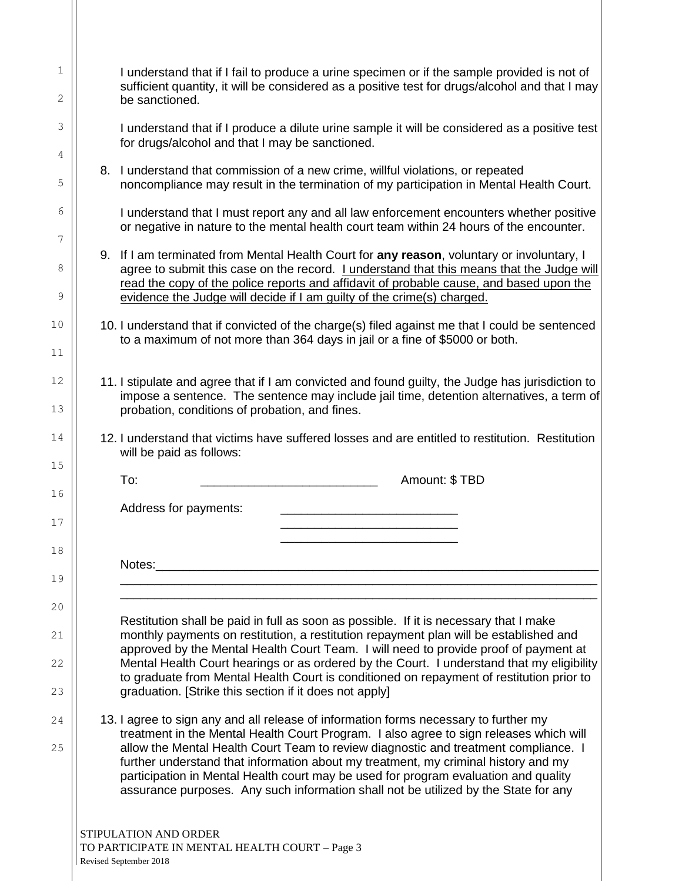| I understand that if I fail to produce a urine specimen or if the sample provided is not of<br>sufficient quantity, it will be considered as a positive test for drugs/alcohol and that I may<br>be sanctioned.                                                                                                                                                                                                                                                                                                                           |
|-------------------------------------------------------------------------------------------------------------------------------------------------------------------------------------------------------------------------------------------------------------------------------------------------------------------------------------------------------------------------------------------------------------------------------------------------------------------------------------------------------------------------------------------|
| I understand that if I produce a dilute urine sample it will be considered as a positive test<br>for drugs/alcohol and that I may be sanctioned.                                                                                                                                                                                                                                                                                                                                                                                          |
| 8. I understand that commission of a new crime, willful violations, or repeated<br>noncompliance may result in the termination of my participation in Mental Health Court.                                                                                                                                                                                                                                                                                                                                                                |
| I understand that I must report any and all law enforcement encounters whether positive<br>or negative in nature to the mental health court team within 24 hours of the encounter.                                                                                                                                                                                                                                                                                                                                                        |
| 9. If I am terminated from Mental Health Court for any reason, voluntary or involuntary, I<br>agree to submit this case on the record. I understand that this means that the Judge will<br>read the copy of the police reports and affidavit of probable cause, and based upon the<br>evidence the Judge will decide if I am guilty of the crime(s) charged.                                                                                                                                                                              |
| 10. I understand that if convicted of the charge(s) filed against me that I could be sentenced<br>to a maximum of not more than 364 days in jail or a fine of \$5000 or both.                                                                                                                                                                                                                                                                                                                                                             |
| 11. I stipulate and agree that if I am convicted and found guilty, the Judge has jurisdiction to<br>impose a sentence. The sentence may include jail time, detention alternatives, a term of<br>probation, conditions of probation, and fines.                                                                                                                                                                                                                                                                                            |
| 12. I understand that victims have suffered losses and are entitled to restitution. Restitution<br>will be paid as follows:                                                                                                                                                                                                                                                                                                                                                                                                               |
| To:<br>Amount: \$TBD                                                                                                                                                                                                                                                                                                                                                                                                                                                                                                                      |
| Address for payments:                                                                                                                                                                                                                                                                                                                                                                                                                                                                                                                     |
| Notes: when the contract of the contract of the contract of the contract of the contract of the contract of the contract of the contract of the contract of the contract of the contract of the contract of the contract of th                                                                                                                                                                                                                                                                                                            |
| Restitution shall be paid in full as soon as possible. If it is necessary that I make<br>monthly payments on restitution, a restitution repayment plan will be established and<br>approved by the Mental Health Court Team. I will need to provide proof of payment at<br>Mental Health Court hearings or as ordered by the Court. I understand that my eligibility<br>to graduate from Mental Health Court is conditioned on repayment of restitution prior to<br>graduation. [Strike this section if it does not apply]                 |
| 13. I agree to sign any and all release of information forms necessary to further my<br>treatment in the Mental Health Court Program. I also agree to sign releases which will<br>allow the Mental Health Court Team to review diagnostic and treatment compliance. I<br>further understand that information about my treatment, my criminal history and my<br>participation in Mental Health court may be used for program evaluation and quality<br>assurance purposes. Any such information shall not be utilized by the State for any |
| STIPULATION AND ORDER<br>TO PARTICIPATE IN MENTAL HEALTH COURT - Page 3<br>Revised September 2018                                                                                                                                                                                                                                                                                                                                                                                                                                         |

II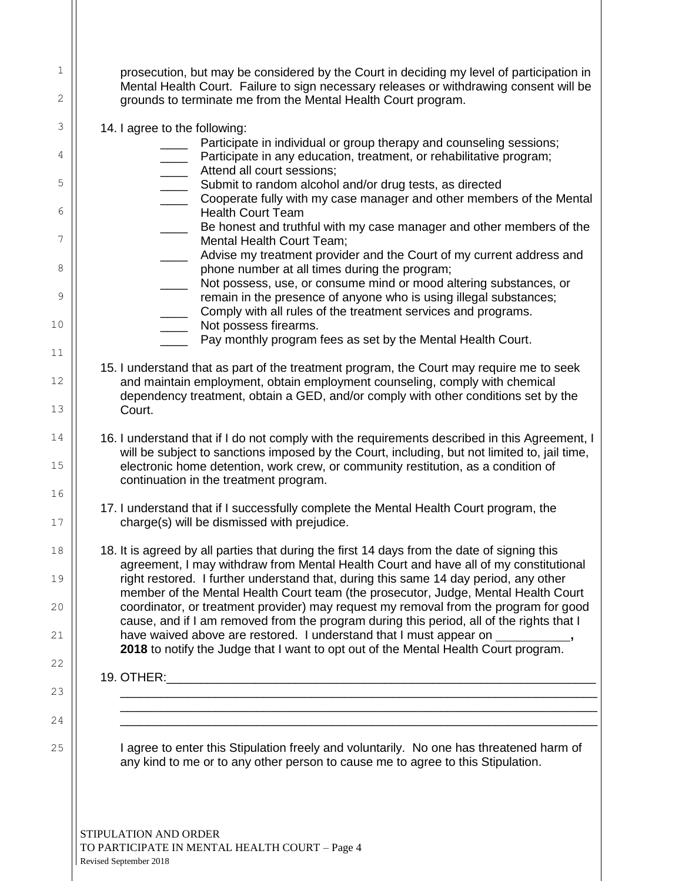| 1  | prosecution, but may be considered by the Court in deciding my level of participation in<br>Mental Health Court. Failure to sign necessary releases or withdrawing consent will be            |  |  |  |  |  |
|----|-----------------------------------------------------------------------------------------------------------------------------------------------------------------------------------------------|--|--|--|--|--|
| 2  | grounds to terminate me from the Mental Health Court program.                                                                                                                                 |  |  |  |  |  |
| 3  | 14. I agree to the following:                                                                                                                                                                 |  |  |  |  |  |
| 4  | Participate in individual or group therapy and counseling sessions;<br>Participate in any education, treatment, or rehabilitative program;                                                    |  |  |  |  |  |
| 5  | Attend all court sessions;<br>$\overline{\phantom{a}}$<br>Submit to random alcohol and/or drug tests, as directed<br>$\overline{\phantom{a}}$                                                 |  |  |  |  |  |
| 6  | Cooperate fully with my case manager and other members of the Mental                                                                                                                          |  |  |  |  |  |
|    | <b>Health Court Team</b><br>Be honest and truthful with my case manager and other members of the                                                                                              |  |  |  |  |  |
| 7  | Mental Health Court Team;<br>Advise my treatment provider and the Court of my current address and                                                                                             |  |  |  |  |  |
| 8  | phone number at all times during the program;<br>Not possess, use, or consume mind or mood altering substances, or                                                                            |  |  |  |  |  |
| 9  | remain in the presence of anyone who is using illegal substances;                                                                                                                             |  |  |  |  |  |
| 10 | Comply with all rules of the treatment services and programs.<br>Not possess firearms.                                                                                                        |  |  |  |  |  |
| 11 | Pay monthly program fees as set by the Mental Health Court.                                                                                                                                   |  |  |  |  |  |
| 12 | 15. I understand that as part of the treatment program, the Court may require me to seek                                                                                                      |  |  |  |  |  |
|    | and maintain employment, obtain employment counseling, comply with chemical<br>dependency treatment, obtain a GED, and/or comply with other conditions set by the                             |  |  |  |  |  |
| 13 | Court.                                                                                                                                                                                        |  |  |  |  |  |
| 14 | 16. I understand that if I do not comply with the requirements described in this Agreement, I<br>will be subject to sanctions imposed by the Court, including, but not limited to, jail time, |  |  |  |  |  |
| 15 | electronic home detention, work crew, or community restitution, as a condition of                                                                                                             |  |  |  |  |  |
| 16 | continuation in the treatment program.                                                                                                                                                        |  |  |  |  |  |
| 17 | 17. I understand that if I successfully complete the Mental Health Court program, the<br>charge(s) will be dismissed with prejudice.                                                          |  |  |  |  |  |
| 18 | 18. It is agreed by all parties that during the first 14 days from the date of signing this<br>agreement, I may withdraw from Mental Health Court and have all of my constitutional           |  |  |  |  |  |
| 19 | right restored. I further understand that, during this same 14 day period, any other                                                                                                          |  |  |  |  |  |
| 20 | member of the Mental Health Court team (the prosecutor, Judge, Mental Health Court<br>coordinator, or treatment provider) may request my removal from the program for good                    |  |  |  |  |  |
| 21 | cause, and if I am removed from the program during this period, all of the rights that I<br>have waived above are restored. I understand that I must appear on ___________,                   |  |  |  |  |  |
|    | 2018 to notify the Judge that I want to opt out of the Mental Health Court program.                                                                                                           |  |  |  |  |  |
| 22 | 19. OTHER:                                                                                                                                                                                    |  |  |  |  |  |
| 23 |                                                                                                                                                                                               |  |  |  |  |  |
| 24 |                                                                                                                                                                                               |  |  |  |  |  |
| 25 | I agree to enter this Stipulation freely and voluntarily. No one has threatened harm of<br>any kind to me or to any other person to cause me to agree to this Stipulation.                    |  |  |  |  |  |
|    |                                                                                                                                                                                               |  |  |  |  |  |
|    |                                                                                                                                                                                               |  |  |  |  |  |
|    | STIPULATION AND ORDER                                                                                                                                                                         |  |  |  |  |  |
|    |                                                                                                                                                                                               |  |  |  |  |  |

TO PARTICIPATE IN MENTAL HEALTH COURT – Page 4 Revised September 2018